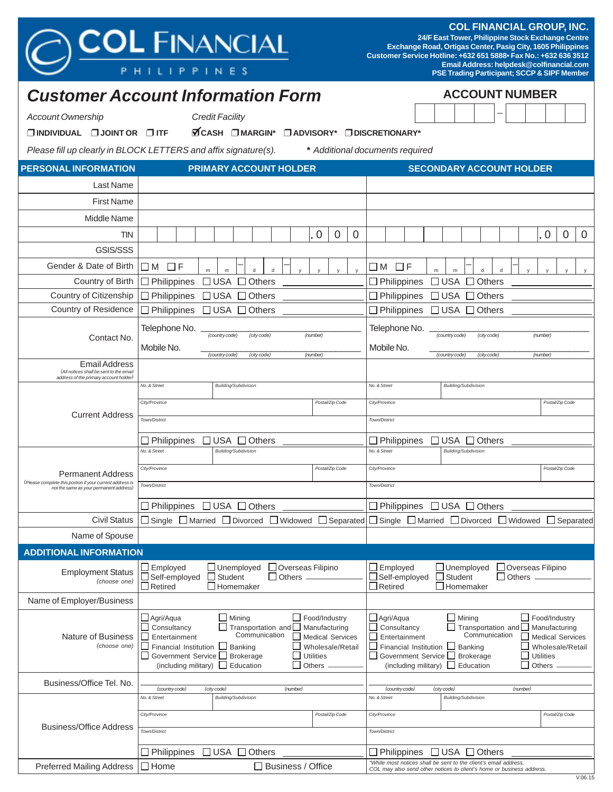# **COL FINANCIAL GROUP, INC.**

**24/F East Tower, Philippine Stock Exchange Centre Exchange Road, Ortigas Center, Pasig City, 1605 Philippines Customer Service Hotline: +632 651 5888• Fax No.: +632 636 3512 Email Address: helpdesk@colfinancial.com PSE Trading Participant; SCCP & SIPF Member**

**PHILIPPINES** 

**ACCOUNT NUMBER** 

|                                                                                                                                 | <b>Customer Account Information Form</b>                                                                                                           |                                                                                                                          |                                                                                                                                           | <b>ACCOUNT NUMBER</b>                                  |                                  |  |  |
|---------------------------------------------------------------------------------------------------------------------------------|----------------------------------------------------------------------------------------------------------------------------------------------------|--------------------------------------------------------------------------------------------------------------------------|-------------------------------------------------------------------------------------------------------------------------------------------|--------------------------------------------------------|----------------------------------|--|--|
| <b>Account Ownership</b>                                                                                                        | <b>Credit Facility</b>                                                                                                                             |                                                                                                                          |                                                                                                                                           |                                                        |                                  |  |  |
| $\Box$ INDIVIDUAL $\Box$ JOINT OR $\Box$ ITF                                                                                    | <b>ØCASH</b> DMARGIN <sup>*</sup>                                                                                                                  |                                                                                                                          | □ ADVISORY* □ DISCRETIONARY*                                                                                                              |                                                        |                                  |  |  |
|                                                                                                                                 | Please fill up clearly in BLOCK LETTERS and affix signature(s).                                                                                    |                                                                                                                          | * Additional documents required                                                                                                           |                                                        |                                  |  |  |
| <b>PERSONAL INFORMATION</b>                                                                                                     | <b>PRIMARY ACCOUNT HOLDER</b>                                                                                                                      |                                                                                                                          |                                                                                                                                           | <b>SECONDARY ACCOUNT HOLDER</b>                        |                                  |  |  |
| Last Name                                                                                                                       |                                                                                                                                                    |                                                                                                                          |                                                                                                                                           |                                                        |                                  |  |  |
| <b>First Name</b>                                                                                                               |                                                                                                                                                    |                                                                                                                          |                                                                                                                                           |                                                        |                                  |  |  |
| Middle Name                                                                                                                     |                                                                                                                                                    |                                                                                                                          |                                                                                                                                           |                                                        |                                  |  |  |
| <b>TIN</b>                                                                                                                      |                                                                                                                                                    | $\mathbf 0$                                                                                                              |                                                                                                                                           |                                                        | $\overline{0}$<br>$\overline{0}$ |  |  |
| GSIS/SSS                                                                                                                        |                                                                                                                                                    | 0<br>0                                                                                                                   |                                                                                                                                           |                                                        | 0                                |  |  |
| Gender & Date of Birth                                                                                                          |                                                                                                                                                    |                                                                                                                          |                                                                                                                                           |                                                        |                                  |  |  |
| Country of Birth                                                                                                                | $\Box$ F<br>ШM<br>d<br>m<br>d<br>Philippines<br>⊟ USA<br>Others                                                                                    |                                                                                                                          | $\Box$ F<br>ШM<br>m<br>$\Box$ Philippines                                                                                                 | ${\sf d}$<br>d<br>m<br>$\square$ USA<br>Others         |                                  |  |  |
| Country of Citizenship                                                                                                          | $\Box$ Philippines<br>$\square$ USA<br>Others                                                                                                      |                                                                                                                          | $\Box$ Philippines                                                                                                                        | $\Box$ USA<br>$\Box$ Others                            |                                  |  |  |
| Country of Residence                                                                                                            | $\Box$ USA $\Box$ Others<br>$\Box$ Philippines                                                                                                     |                                                                                                                          | $\Box$ Philippines                                                                                                                        | $\Box$ USA $\Box$ Others                               |                                  |  |  |
|                                                                                                                                 | Telephone No.                                                                                                                                      |                                                                                                                          | Telephone No.                                                                                                                             |                                                        |                                  |  |  |
| Contact No.                                                                                                                     | (country code)<br>(city code)<br>(number)                                                                                                          |                                                                                                                          |                                                                                                                                           | (country code)<br>(city code)                          | (number)                         |  |  |
|                                                                                                                                 | Mobile No.<br>(number)<br>(country code)<br>(city code)                                                                                            | Mobile No.<br>(country code)<br>(number)<br>(city code)                                                                  |                                                                                                                                           |                                                        |                                  |  |  |
| <b>Email Address</b><br>(All notices shall be sent to the email<br>address of the primary account holder)                       |                                                                                                                                                    |                                                                                                                          |                                                                                                                                           |                                                        |                                  |  |  |
|                                                                                                                                 | No. & Street<br><b>Building/Subdivision</b>                                                                                                        |                                                                                                                          | No. & Street                                                                                                                              | <b>Building/Subdivision</b>                            |                                  |  |  |
|                                                                                                                                 | City/Province                                                                                                                                      | Postal/Zip Code                                                                                                          | City/Province                                                                                                                             |                                                        | Postal/Zip Code                  |  |  |
| <b>Current Address</b>                                                                                                          | Town/District                                                                                                                                      |                                                                                                                          | Town/District                                                                                                                             |                                                        |                                  |  |  |
|                                                                                                                                 | $\Box$ USA $\Box$ Others<br>$\Box$ Philippines                                                                                                     | $\Box$ Philippines                                                                                                       | $\Box$ USA $\Box$ Others                                                                                                                  |                                                        |                                  |  |  |
|                                                                                                                                 | No. & Street<br><b>Building/Subdivision</b>                                                                                                        |                                                                                                                          | No. & Street                                                                                                                              | <b>Building/Subdivision</b>                            |                                  |  |  |
|                                                                                                                                 | City/Province                                                                                                                                      | Postal/Zip Code                                                                                                          | City/Province                                                                                                                             |                                                        | Postal/Zip Code                  |  |  |
| <b>Permanent Address</b><br>(Please complete this portion if your current address is<br>not the same as your permanent address) | Town/District                                                                                                                                      |                                                                                                                          | Town/District                                                                                                                             |                                                        |                                  |  |  |
|                                                                                                                                 |                                                                                                                                                    |                                                                                                                          | □ Philippines □ USA □ Others                                                                                                              |                                                        |                                  |  |  |
| <b>Civil Status</b>                                                                                                             | □ Philippines □ USA □ Others<br>$\Box$ Single $\Box$ Married $\Box$ Divorced $\Box$ Widowed $\Box$ Separated                                       |                                                                                                                          | $\Box$ Single $\Box$ Married $\Box$ Divorced $\Box$ Widowed $\Box$ Separated                                                              |                                                        |                                  |  |  |
| Name of Spouse                                                                                                                  |                                                                                                                                                    |                                                                                                                          |                                                                                                                                           |                                                        |                                  |  |  |
| <b>ADDITIONAL INFORMATION</b>                                                                                                   |                                                                                                                                                    |                                                                                                                          |                                                                                                                                           |                                                        |                                  |  |  |
|                                                                                                                                 | Employed<br>$\Box$ Unemployed<br>Overseas Filipino                                                                                                 |                                                                                                                          | $\exists$ Employed                                                                                                                        | $\Box$ Unemployed<br>Overseas Filipino                 |                                  |  |  |
| <b>Employment Status</b><br>(choose one)                                                                                        | Self-employed<br>$\Box$ Student<br>$\Box$ Others $\Box$<br>$\Box$ Homemaker                                                                        | Self-employed<br>□<br>$\Box$ Retired                                                                                     | Student<br>$\Box$ Others<br>$\Box$ Homemaker                                                                                              |                                                        |                                  |  |  |
| Name of Employer/Business                                                                                                       | $\Box$ Retired                                                                                                                                     |                                                                                                                          |                                                                                                                                           |                                                        |                                  |  |  |
|                                                                                                                                 | $\Box$ Agri/Aqua<br>$\Box$ Mining                                                                                                                  | $\Box$ Food/Industry                                                                                                     |                                                                                                                                           | $\Box$ Mining                                          | $\Box$ Food/Industry             |  |  |
|                                                                                                                                 | Consultancy<br>Transportation and                                                                                                                  | Manufacturing                                                                                                            | □ Agri/Aqua<br>Consultancy                                                                                                                | Transportation and                                     | Manufacturing                    |  |  |
| <b>Nature of Business</b><br>(choose one)                                                                                       | Communication<br>$\overline{\phantom{a}}$<br>Entertainment<br><b>Medical Services</b><br>г<br>Financial Institution<br>Wholesale/Retail<br>Banking | Communication<br>Entertainment<br><b>Medical Services</b><br>Financial Institution<br>$\Box$ Banking<br>Wholesale/Retail |                                                                                                                                           |                                                        |                                  |  |  |
|                                                                                                                                 | Government Service L<br><b>Brokerage</b><br><b>Utilities</b><br>Others<br>(including military) $\Box$<br>Education                                 | Government Service □ Brokerage<br><b>Utilities</b><br>(including military) □ Education<br>Others                         |                                                                                                                                           |                                                        |                                  |  |  |
|                                                                                                                                 |                                                                                                                                                    |                                                                                                                          |                                                                                                                                           |                                                        |                                  |  |  |
| Business/Office Tel. No.                                                                                                        | (country code)<br>(city code)<br>(number)<br>No. & Street<br><b>Building/Subdivision</b>                                                           |                                                                                                                          | (country code)<br>No. & Street                                                                                                            | (city code)<br>(number)<br><b>Building/Subdivision</b> |                                  |  |  |
|                                                                                                                                 | City/Province                                                                                                                                      | Postal/Zip Code                                                                                                          |                                                                                                                                           |                                                        | Postal/Zip Code                  |  |  |
| <b>Business/Office Address</b>                                                                                                  |                                                                                                                                                    |                                                                                                                          | City/Province                                                                                                                             |                                                        |                                  |  |  |
|                                                                                                                                 | Town/District                                                                                                                                      |                                                                                                                          | Town/District                                                                                                                             |                                                        |                                  |  |  |
|                                                                                                                                 | $\Box$ USA $\Box$<br>$\Box$ Philippines<br>Others                                                                                                  |                                                                                                                          | $\Box$ Philippines                                                                                                                        | $\Box$ USA $\Box$ Others                               |                                  |  |  |
| <b>Preferred Mailing Address</b>                                                                                                | □ Business / Office<br>$\square$ Home                                                                                                              |                                                                                                                          | "While most notices shall be sent to the client's email address,<br>COL may also send other notices to client's home or business address. |                                                        |                                  |  |  |

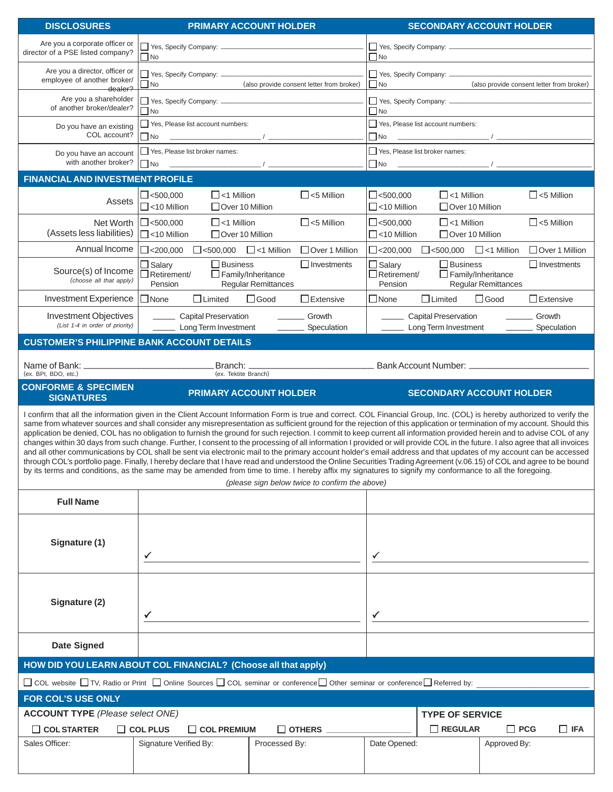| <b>DISCLOSURES</b>                                                                                                                                                                                                                                                                                                                                                                                                                                                                                                                                                                                                                                                                                                                                                                                                                                                                                                                                                                                                                                                                                                                                                                                                                                                            |                                                                                                                                                                                                                                                                                                                                                                                  | <b>PRIMARY ACCOUNT HOLDER</b>                                                                                                                              |                                                                                     | <b>SECONDARY ACCOUNT HOLDER</b>           |  |  |  |
|-------------------------------------------------------------------------------------------------------------------------------------------------------------------------------------------------------------------------------------------------------------------------------------------------------------------------------------------------------------------------------------------------------------------------------------------------------------------------------------------------------------------------------------------------------------------------------------------------------------------------------------------------------------------------------------------------------------------------------------------------------------------------------------------------------------------------------------------------------------------------------------------------------------------------------------------------------------------------------------------------------------------------------------------------------------------------------------------------------------------------------------------------------------------------------------------------------------------------------------------------------------------------------|----------------------------------------------------------------------------------------------------------------------------------------------------------------------------------------------------------------------------------------------------------------------------------------------------------------------------------------------------------------------------------|------------------------------------------------------------------------------------------------------------------------------------------------------------|-------------------------------------------------------------------------------------|-------------------------------------------|--|--|--|
| Are you a corporate officer or                                                                                                                                                                                                                                                                                                                                                                                                                                                                                                                                                                                                                                                                                                                                                                                                                                                                                                                                                                                                                                                                                                                                                                                                                                                |                                                                                                                                                                                                                                                                                                                                                                                  |                                                                                                                                                            |                                                                                     |                                           |  |  |  |
| director of a PSE listed company?                                                                                                                                                                                                                                                                                                                                                                                                                                                                                                                                                                                                                                                                                                                                                                                                                                                                                                                                                                                                                                                                                                                                                                                                                                             | $\Box$ No                                                                                                                                                                                                                                                                                                                                                                        | the control of the control of the control of the control of                                                                                                | $\Box$ No                                                                           |                                           |  |  |  |
| Are you a director, officer or<br>employee of another broker/                                                                                                                                                                                                                                                                                                                                                                                                                                                                                                                                                                                                                                                                                                                                                                                                                                                                                                                                                                                                                                                                                                                                                                                                                 | $\Box$ No                                                                                                                                                                                                                                                                                                                                                                        | (also provide consent letter from broker)                                                                                                                  | Yes, Specify Company: ________<br>$\Box$ No                                         | (also provide consent letter from broker) |  |  |  |
| dealer?<br>Are you a shareholder                                                                                                                                                                                                                                                                                                                                                                                                                                                                                                                                                                                                                                                                                                                                                                                                                                                                                                                                                                                                                                                                                                                                                                                                                                              | $\begin{array}{c} \begin{array}{c} \begin{array}{c} \begin{array}{c} \end{array} \\ \begin{array}{c} \end{array} \end{array} \end{array} \end{array} \end{array}$                                                                                                                                                                                                                |                                                                                                                                                            |                                                                                     |                                           |  |  |  |
| of another broker/dealer?                                                                                                                                                                                                                                                                                                                                                                                                                                                                                                                                                                                                                                                                                                                                                                                                                                                                                                                                                                                                                                                                                                                                                                                                                                                     | $\square$ No                                                                                                                                                                                                                                                                                                                                                                     |                                                                                                                                                            | $\Box$ No                                                                           |                                           |  |  |  |
| Do you have an existing                                                                                                                                                                                                                                                                                                                                                                                                                                                                                                                                                                                                                                                                                                                                                                                                                                                                                                                                                                                                                                                                                                                                                                                                                                                       | Yes, Please list account numbers:                                                                                                                                                                                                                                                                                                                                                |                                                                                                                                                            | Yes, Please list account numbers:                                                   |                                           |  |  |  |
| COL account?                                                                                                                                                                                                                                                                                                                                                                                                                                                                                                                                                                                                                                                                                                                                                                                                                                                                                                                                                                                                                                                                                                                                                                                                                                                                  | $\square$ No                                                                                                                                                                                                                                                                                                                                                                     |                                                                                                                                                            | $\Box$ No                                                                           |                                           |  |  |  |
| Do you have an account<br>with another broker?                                                                                                                                                                                                                                                                                                                                                                                                                                                                                                                                                                                                                                                                                                                                                                                                                                                                                                                                                                                                                                                                                                                                                                                                                                | Yes, Please list broker names:<br>$\overline{1}$<br>$\square$ No                                                                                                                                                                                                                                                                                                                 |                                                                                                                                                            | Yes, Please list broker names:<br>$\Box$ No                                         |                                           |  |  |  |
| <b>FINANCIAL AND INVESTMENT PROFILE</b>                                                                                                                                                                                                                                                                                                                                                                                                                                                                                                                                                                                                                                                                                                                                                                                                                                                                                                                                                                                                                                                                                                                                                                                                                                       |                                                                                                                                                                                                                                                                                                                                                                                  |                                                                                                                                                            |                                                                                     |                                           |  |  |  |
|                                                                                                                                                                                                                                                                                                                                                                                                                                                                                                                                                                                                                                                                                                                                                                                                                                                                                                                                                                                                                                                                                                                                                                                                                                                                               | $\Box$ <1 Million<br>$\Box$ <500,000                                                                                                                                                                                                                                                                                                                                             | $\Box$ <5 Million                                                                                                                                          | $\Box$ <500,000<br>$\Box$ <1 Million                                                | $\Box$ <5 Million                         |  |  |  |
| Assets                                                                                                                                                                                                                                                                                                                                                                                                                                                                                                                                                                                                                                                                                                                                                                                                                                                                                                                                                                                                                                                                                                                                                                                                                                                                        | $\Box$ <10 Million<br>□ Over 10 Million                                                                                                                                                                                                                                                                                                                                          |                                                                                                                                                            | $\Box$ <10 Million<br>□ Over 10 Million                                             |                                           |  |  |  |
| Net Worth                                                                                                                                                                                                                                                                                                                                                                                                                                                                                                                                                                                                                                                                                                                                                                                                                                                                                                                                                                                                                                                                                                                                                                                                                                                                     | $\Box$ <1 Million<br>$\Box$ <500,000                                                                                                                                                                                                                                                                                                                                             | $\Box$ <5 Million                                                                                                                                          | $\Box$ <500,000<br>$\Box$ <1 Million                                                | $\Box$ <5 Million                         |  |  |  |
| (Assets less liabilities)                                                                                                                                                                                                                                                                                                                                                                                                                                                                                                                                                                                                                                                                                                                                                                                                                                                                                                                                                                                                                                                                                                                                                                                                                                                     | $\Box$ <10 Million<br>$\Box$ Over 10 Million                                                                                                                                                                                                                                                                                                                                     |                                                                                                                                                            | $\Box$ <10 Million<br>$\Box$ Over 10 Million                                        |                                           |  |  |  |
| Annual Income                                                                                                                                                                                                                                                                                                                                                                                                                                                                                                                                                                                                                                                                                                                                                                                                                                                                                                                                                                                                                                                                                                                                                                                                                                                                 | $\Box$ <200,000<br>$\Box$ <500,000                                                                                                                                                                                                                                                                                                                                               | □ Over 1 Million<br>$\Box$ <1 Million                                                                                                                      | $\Box$ <200,000<br>$\Box$ <500,000 $\Box$ <1 Million                                | □ Over 1 Million                          |  |  |  |
| Source(s) of Income                                                                                                                                                                                                                                                                                                                                                                                                                                                                                                                                                                                                                                                                                                                                                                                                                                                                                                                                                                                                                                                                                                                                                                                                                                                           | $\Box$ Salary<br>$\Box$ Business<br>$\Box$ Retirement/                                                                                                                                                                                                                                                                                                                           | $\Box$ Investments<br>$\Box$ Family/Inheritance                                                                                                            | $\Box$ Salary<br>$\Box$ Business<br>$\Box$ Retirement/<br>$\Box$ Family/Inheritance | $\Box$ Investments                        |  |  |  |
| (choose all that apply)                                                                                                                                                                                                                                                                                                                                                                                                                                                                                                                                                                                                                                                                                                                                                                                                                                                                                                                                                                                                                                                                                                                                                                                                                                                       | Pension                                                                                                                                                                                                                                                                                                                                                                          | <b>Regular Remittances</b>                                                                                                                                 | Pension                                                                             | <b>Regular Remittances</b>                |  |  |  |
| <b>Investment Experience</b>                                                                                                                                                                                                                                                                                                                                                                                                                                                                                                                                                                                                                                                                                                                                                                                                                                                                                                                                                                                                                                                                                                                                                                                                                                                  | $\Box$ None<br>$\Box$ Limited                                                                                                                                                                                                                                                                                                                                                    | $\Box$ Good<br>$\Box$ Extensive                                                                                                                            | $\Box$ None<br>$\Box$ Limited                                                       | $\Box$ Good<br>$\Box$ Extensive           |  |  |  |
| <b>Investment Objectives</b><br>(List 1-4 in order of priority)                                                                                                                                                                                                                                                                                                                                                                                                                                                                                                                                                                                                                                                                                                                                                                                                                                                                                                                                                                                                                                                                                                                                                                                                               | <b>Capital Preservation</b><br>Long Term Investment                                                                                                                                                                                                                                                                                                                              | Growth<br>$\sim$ 100 $\sim$<br>Speculation                                                                                                                 | <b>Capital Preservation</b><br>Long Term Investment                                 | _________ Growth<br>Speculation           |  |  |  |
| <b>CUSTOMER'S PHILIPPINE BANK ACCOUNT DETAILS</b>                                                                                                                                                                                                                                                                                                                                                                                                                                                                                                                                                                                                                                                                                                                                                                                                                                                                                                                                                                                                                                                                                                                                                                                                                             |                                                                                                                                                                                                                                                                                                                                                                                  |                                                                                                                                                            |                                                                                     |                                           |  |  |  |
|                                                                                                                                                                                                                                                                                                                                                                                                                                                                                                                                                                                                                                                                                                                                                                                                                                                                                                                                                                                                                                                                                                                                                                                                                                                                               |                                                                                                                                                                                                                                                                                                                                                                                  |                                                                                                                                                            |                                                                                     |                                           |  |  |  |
| (ex. BPI, BDO, etc.)                                                                                                                                                                                                                                                                                                                                                                                                                                                                                                                                                                                                                                                                                                                                                                                                                                                                                                                                                                                                                                                                                                                                                                                                                                                          | (ex. Tektite Branch)                                                                                                                                                                                                                                                                                                                                                             |                                                                                                                                                            | <b>Manual Property Community Community Community</b> Bank Account Number:           |                                           |  |  |  |
| <b>CONFORME &amp; SPECIMEN</b><br><b>SIGNATURES</b>                                                                                                                                                                                                                                                                                                                                                                                                                                                                                                                                                                                                                                                                                                                                                                                                                                                                                                                                                                                                                                                                                                                                                                                                                           |                                                                                                                                                                                                                                                                                                                                                                                  | <b>PRIMARY ACCOUNT HOLDER</b>                                                                                                                              |                                                                                     | <b>SECONDARY ACCOUNT HOLDER</b>           |  |  |  |
| I confirm that all the information given in the Client Account Information Form is true and correct. COL Financial Group, Inc. (COL) is hereby authorized to verify the<br>same from whatever sources and shall consider any misrepresentation as sufficient ground for the rejection of this application or termination of my account. Should this<br>application be denied, COL has no obligation to furnish the ground for such rejection. I commit to keep current all information provided herein and to advise COL of any<br>changes within 30 days from such change. Further, I consent to the processing of all information I provided or will provide COL in the future. I also agree that all invoices<br>and all other communications by COL shall be sent via electronic mail to the primary account holder's email address and that updates of my account can be accessed<br>through COL's portfolio page. Finally, I hereby declare that I have read and understood the Online Securities Trading Agreement (v.06.15) of COL and agree to be bound<br>by its terms and conditions, as the same may be amended from time to time. I hereby affix my signatures to signify my conformance to all the foregoing.<br>(please sign below twice to confirm the above) |                                                                                                                                                                                                                                                                                                                                                                                  |                                                                                                                                                            |                                                                                     |                                           |  |  |  |
| <b>Full Name</b>                                                                                                                                                                                                                                                                                                                                                                                                                                                                                                                                                                                                                                                                                                                                                                                                                                                                                                                                                                                                                                                                                                                                                                                                                                                              |                                                                                                                                                                                                                                                                                                                                                                                  |                                                                                                                                                            |                                                                                     |                                           |  |  |  |
|                                                                                                                                                                                                                                                                                                                                                                                                                                                                                                                                                                                                                                                                                                                                                                                                                                                                                                                                                                                                                                                                                                                                                                                                                                                                               |                                                                                                                                                                                                                                                                                                                                                                                  |                                                                                                                                                            |                                                                                     |                                           |  |  |  |
|                                                                                                                                                                                                                                                                                                                                                                                                                                                                                                                                                                                                                                                                                                                                                                                                                                                                                                                                                                                                                                                                                                                                                                                                                                                                               |                                                                                                                                                                                                                                                                                                                                                                                  |                                                                                                                                                            |                                                                                     |                                           |  |  |  |
| Signature (1)                                                                                                                                                                                                                                                                                                                                                                                                                                                                                                                                                                                                                                                                                                                                                                                                                                                                                                                                                                                                                                                                                                                                                                                                                                                                 | $\checkmark$ and the contract of $\checkmark$ and $\checkmark$ and $\checkmark$ and $\checkmark$ and $\checkmark$ and $\checkmark$ and $\checkmark$ and $\checkmark$ and $\checkmark$ and $\checkmark$ and $\checkmark$ and $\checkmark$ and $\checkmark$ and $\checkmark$ and $\checkmark$ and $\checkmark$ and $\checkmark$ and $\checkmark$ and $\checkmark$ and $\checkmark$ |                                                                                                                                                            | $\checkmark$                                                                        |                                           |  |  |  |
|                                                                                                                                                                                                                                                                                                                                                                                                                                                                                                                                                                                                                                                                                                                                                                                                                                                                                                                                                                                                                                                                                                                                                                                                                                                                               |                                                                                                                                                                                                                                                                                                                                                                                  |                                                                                                                                                            |                                                                                     |                                           |  |  |  |
|                                                                                                                                                                                                                                                                                                                                                                                                                                                                                                                                                                                                                                                                                                                                                                                                                                                                                                                                                                                                                                                                                                                                                                                                                                                                               |                                                                                                                                                                                                                                                                                                                                                                                  |                                                                                                                                                            |                                                                                     |                                           |  |  |  |
| Signature (2)                                                                                                                                                                                                                                                                                                                                                                                                                                                                                                                                                                                                                                                                                                                                                                                                                                                                                                                                                                                                                                                                                                                                                                                                                                                                 |                                                                                                                                                                                                                                                                                                                                                                                  |                                                                                                                                                            |                                                                                     |                                           |  |  |  |
|                                                                                                                                                                                                                                                                                                                                                                                                                                                                                                                                                                                                                                                                                                                                                                                                                                                                                                                                                                                                                                                                                                                                                                                                                                                                               | $\checkmark$ and the contract of $\checkmark$ and $\checkmark$ and $\checkmark$ and $\checkmark$ and $\checkmark$ and $\checkmark$ and $\checkmark$ and $\checkmark$ and $\checkmark$ and $\checkmark$ and $\checkmark$ and $\checkmark$ and $\checkmark$ and $\checkmark$ and $\checkmark$ and $\checkmark$ and $\checkmark$ and $\checkmark$ and $\checkmark$ and $\checkmark$ |                                                                                                                                                            |                                                                                     |                                           |  |  |  |
|                                                                                                                                                                                                                                                                                                                                                                                                                                                                                                                                                                                                                                                                                                                                                                                                                                                                                                                                                                                                                                                                                                                                                                                                                                                                               |                                                                                                                                                                                                                                                                                                                                                                                  |                                                                                                                                                            |                                                                                     |                                           |  |  |  |
| <b>Date Signed</b>                                                                                                                                                                                                                                                                                                                                                                                                                                                                                                                                                                                                                                                                                                                                                                                                                                                                                                                                                                                                                                                                                                                                                                                                                                                            |                                                                                                                                                                                                                                                                                                                                                                                  |                                                                                                                                                            |                                                                                     |                                           |  |  |  |
| HOW DID YOU LEARN ABOUT COL FINANCIAL? (Choose all that apply)                                                                                                                                                                                                                                                                                                                                                                                                                                                                                                                                                                                                                                                                                                                                                                                                                                                                                                                                                                                                                                                                                                                                                                                                                |                                                                                                                                                                                                                                                                                                                                                                                  |                                                                                                                                                            |                                                                                     |                                           |  |  |  |
|                                                                                                                                                                                                                                                                                                                                                                                                                                                                                                                                                                                                                                                                                                                                                                                                                                                                                                                                                                                                                                                                                                                                                                                                                                                                               |                                                                                                                                                                                                                                                                                                                                                                                  | $\Box$ COL website $\Box$ TV, Radio or Print $\Box$ Online Sources $\Box$ COL seminar or conference $\Box$ Other seminar or conference $\Box$ Referred by: |                                                                                     |                                           |  |  |  |
| FOR COL'S USE ONLY                                                                                                                                                                                                                                                                                                                                                                                                                                                                                                                                                                                                                                                                                                                                                                                                                                                                                                                                                                                                                                                                                                                                                                                                                                                            |                                                                                                                                                                                                                                                                                                                                                                                  |                                                                                                                                                            |                                                                                     |                                           |  |  |  |
| <b>ACCOUNT TYPE</b> (Please select ONE)                                                                                                                                                                                                                                                                                                                                                                                                                                                                                                                                                                                                                                                                                                                                                                                                                                                                                                                                                                                                                                                                                                                                                                                                                                       |                                                                                                                                                                                                                                                                                                                                                                                  |                                                                                                                                                            | <b>TYPE OF SERVICE</b>                                                              |                                           |  |  |  |
| $\Box$ COL STARTER                                                                                                                                                                                                                                                                                                                                                                                                                                                                                                                                                                                                                                                                                                                                                                                                                                                                                                                                                                                                                                                                                                                                                                                                                                                            | $\Box$ COL PLUS<br>$\Box$ COL PREMIUM                                                                                                                                                                                                                                                                                                                                            | $\Box$ OTHERS $\_\_\_\_\_\_\_\_\_\_\_\_$                                                                                                                   | $\Box$ REGULAR                                                                      | $\Box$ PCG<br>$\Box$ IFA                  |  |  |  |
| Sales Officer:                                                                                                                                                                                                                                                                                                                                                                                                                                                                                                                                                                                                                                                                                                                                                                                                                                                                                                                                                                                                                                                                                                                                                                                                                                                                | Signature Verified By:                                                                                                                                                                                                                                                                                                                                                           | Processed By:                                                                                                                                              | Date Opened:                                                                        | Approved By:                              |  |  |  |
|                                                                                                                                                                                                                                                                                                                                                                                                                                                                                                                                                                                                                                                                                                                                                                                                                                                                                                                                                                                                                                                                                                                                                                                                                                                                               |                                                                                                                                                                                                                                                                                                                                                                                  |                                                                                                                                                            |                                                                                     |                                           |  |  |  |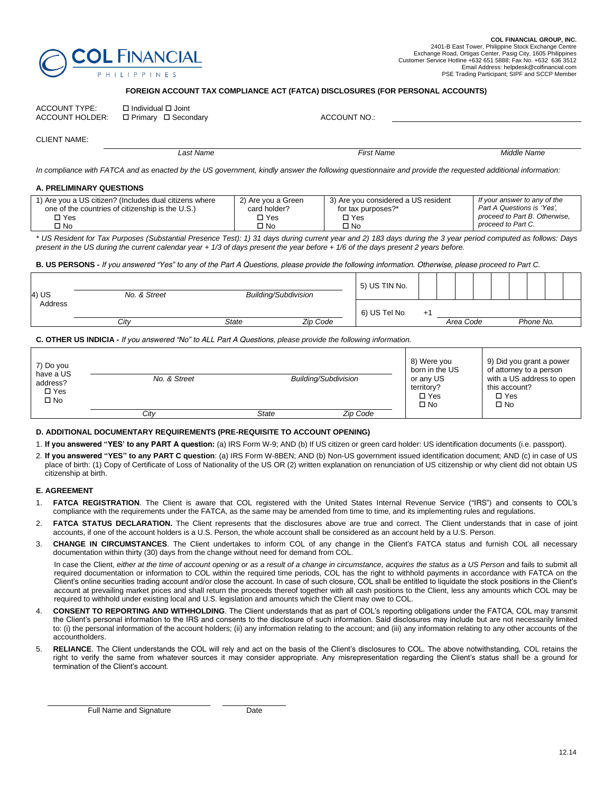

#### **FOREIGN ACCOUNT TAX COMPLIANCE ACT (FATCA) DISCLOSURES (FOR PERSONAL ACCOUNTS)**

| <b>ACCOUNT TYPE:</b> | □ Individual □ Joint<br>ACCOUNT HOLDER: □ Primary □ Secondary | ACCOUNT NO.: |
|----------------------|---------------------------------------------------------------|--------------|
| $\bigcap$            |                                                               |              |

CLIENT NAME:

*Last Name First Name Middle Name*

In compliance with FATCA and as enacted by the US government, kindly answer the following questionnaire and provide the requested additional information:

#### **A. PRELIMINARY QUESTIONS**

| 1) Are you a US citizen? (Includes dual citizens where | 2) Are vou a Green | 3) Are you considered a US resident | If your answer to any of the  |
|--------------------------------------------------------|--------------------|-------------------------------------|-------------------------------|
| one of the countries of citizenship is the U.S.)       | card holder?       | for tax purposes?*                  | Part A Questions is 'Yes',    |
| □ Yes                                                  | □ Yes              | □ Yes                               | proceed to Part B. Otherwise, |
| ∩ No                                                   | No ר               | □ No                                | proceed to Part C.            |

*\* US Resident for Tax Purposes (Substantial Presence Test): 1) 31 days during current year and 2) 183 days during the 3 year period computed as follows: Days present in the US during the current calendar year + 1/3 of days present the year before + 1/6 of the days present 2 years before.*

**B. US PERSONS -** *If you answered "Yes" to any of the Part A Questions, please provide the following information. Otherwise, please proceed to Part C.* 

| 4) US          | No. & Street | <b>Building/Subdivision</b> | 5) US TIN No. |              |              |           |  |           |  |
|----------------|--------------|-----------------------------|---------------|--------------|--------------|-----------|--|-----------|--|
| <b>Address</b> | City         | State                       | Zip Code      | 6) US Tel No | $+^{\prime}$ | Area Code |  | Phone No. |  |
|                |              |                             |               |              |              |           |  |           |  |

#### **C. OTHER US INDICIA -** *If you answered "No" to ALL Part A Questions, please provide the following information.*

| 7) Do you<br>have a US<br>address?<br>$\Box$ Yes<br>$\square$ No | No. & Street |       | Building/Subdivision | 8) Were you<br>born in the US<br>or any US<br>territory?<br>$\Box$ Yes<br>$\square$ No | 9) Did you grant a power<br>of attorney to a person<br>with a US address to open<br>this account?<br>$\Box$ Yes<br>$\square$ No |
|------------------------------------------------------------------|--------------|-------|----------------------|----------------------------------------------------------------------------------------|---------------------------------------------------------------------------------------------------------------------------------|
|                                                                  | Citv         | State | Zip Code             |                                                                                        |                                                                                                                                 |

#### **D. ADDITIONAL DOCUMENTARY REQUIREMENTS (PRE-REQUISITE TO ACCOUNT OPENING)**

- 1. **If you answered "YES' to any PART A question:** (a) IRS Form W-9; AND (b) If US citizen or green card holder: US identification documents (i.e. passport).
- 2. **If you answered "YES" to any PART C question**: (a) IRS Form W-8BEN; AND (b) Non-US government issued identification document; AND (c) in case of US place of birth: (1) Copy of Certificate of Loss of Nationality of the US OR (2) written explanation on renunciation of US citizenship or why client did not obtain US citizenship at birth.

#### **E. AGREEMENT**

- 1. **FATCA REGISTRATION**. The Client is aware that COL registered with the United States Internal Revenue Service ("IRS") and consents to COL's compliance with the requirements under the FATCA, as the same may be amended from time to time, and its implementing rules and regulations.
- 2. **FATCA STATUS DECLARATION.** The Client represents that the disclosures above are true and correct. The Client understands that in case of joint accounts, if one of the account holders is a U.S. Person, the whole account shall be considered as an account held by a U.S. Person.
- 3. **CHANGE IN CIRCUMSTANCES**. The Client undertakes to inform COL of any change in the Client's FATCA status and furnish COL all necessary documentation within thirty (30) days from the change without need for demand from COL.

In case the Client, *either at the time of account opening or as a result of a change in circumstance, acquires the status as a US Person and fails to submit all* required documentation or information to COL within the required time periods, COL has the right to withhold payments in accordance with FATCA on the Client's online securities trading account and/or close the account. In case of such closure, COL shall be entitled to liquidate the stock positions in the Client's account at prevailing market prices and shall return the proceeds thereof together with all cash positions to the Client, less any amounts which COL may be required to withhold under existing local and U.S. legislation and amounts which the Client may owe to COL.

- 4. **CONSENT TO REPORTING AND WITHHOLDING**. The Client understands that as part of COL's reporting obligations under the FATCA, COL may transmit the Client's personal information to the IRS and consents to the disclosure of such information. Said disclosures may include but are not necessarily limited to: (i) the personal information of the account holders; (ii) any information relating to the account; and (iii) any information relating to any other accounts of the accountholders.
- 5. **RELIANCE**. The Client understands the COL will rely and act on the basis of the Client's disclosures to COL. The above notwithstanding, COL retains the right to verify the same from whatever sources it may consider appropriate. Any misrepresentation regarding the Client's status shall be a ground for termination of the Client's account.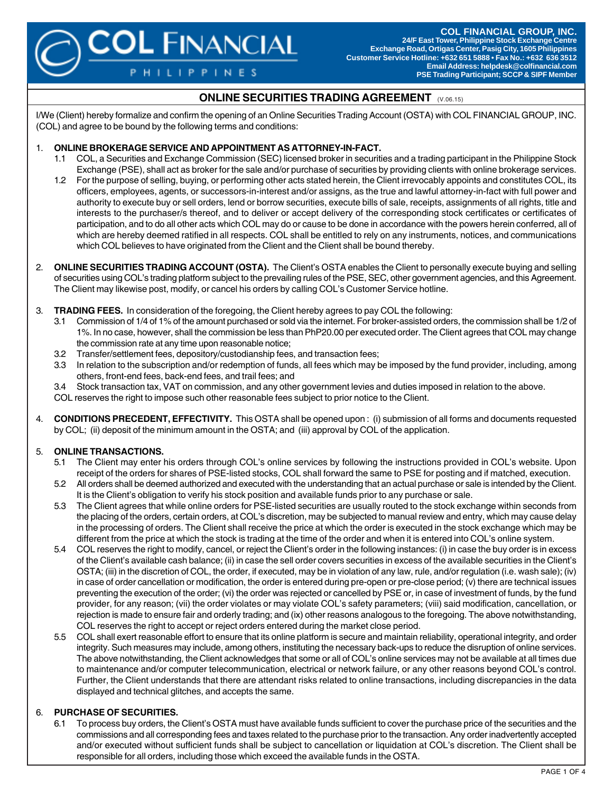**COL FINANCIAL GROUP, INC. 24/F East Tower, Philippine Stock Exchange Centre Exchange Road, Ortigas Center, Pasig City, 1605 Philippines Customer Service Hotline: +632 651 5888 • Fax No.: +632 636 3512 Email Address: helpdesk@colfinancial.com PSE Trading Participant; SCCP & SIPF Member**

# **ONLINE SECURITIES TRADING AGREEMENT** (V.06.15)

I/We (Client) hereby formalize and confirm the opening of an Online Securities Trading Account (OSTA) with COL FINANCIAL GROUP, INC. (COL) and agree to be bound by the following terms and conditions:

#### 1. **ONLINE BROKERAGE SERVICE AND APPOINTMENT AS ATTORNEY-IN-FACT.**

**COL FINANCIAL** 

**HILIPPINES** 

- 1.1 COL, a Securities and Exchange Commission (SEC) licensed broker in securities and a trading participant in the Philippine Stock Exchange (PSE), shall act as broker for the sale and/or purchase of securities by providing clients with online brokerage services.
- 1.2 For the purpose of selling, buying, or performing other acts stated herein, the Client irrevocably appoints and constitutes COL, its officers, employees, agents, or successors-in-interest and/or assigns, as the true and lawful attorney-in-fact with full power and authority to execute buy or sell orders, lend or borrow securities, execute bills of sale, receipts, assignments of all rights, title and interests to the purchaser/s thereof, and to deliver or accept delivery of the corresponding stock certificates or certificates of participation, and to do all other acts which COL may do or cause to be done in accordance with the powers herein conferred, all of which are hereby deemed ratified in all respects. COL shall be entitled to rely on any instruments, notices, and communications which COL believes to have originated from the Client and the Client shall be bound thereby.
- 2. **ONLINE SECURITIES TRADING ACCOUNT (OSTA).** The Client's OSTA enables the Client to personally execute buying and selling of securities using COL's trading platform subject to the prevailing rules of the PSE, SEC, other government agencies, and this Agreement. The Client may likewise post, modify, or cancel his orders by calling COL's Customer Service hotline.
- 3. **TRADING FEES.** In consideration of the foregoing, the Client hereby agrees to pay COL the following:
	- 3.1 Commission of 1/4 of 1% of the amount purchased or sold via the internet. For broker-assisted orders, the commission shall be 1/2 of 1%. In no case, however, shall the commission be less than PhP20.00 per executed order. The Client agrees that COL may change the commission rate at any time upon reasonable notice;
	- 3.2 Transfer/settlement fees, depository/custodianship fees, and transaction fees;
	- 3.3 In relation to the subscription and/or redemption of funds, all fees which may be imposed by the fund provider, including, among others, front-end fees, back-end fees, and trail fees; and
	- 3.4 Stock transaction tax, VAT on commission, and any other government levies and duties imposed in relation to the above.

COL reserves the right to impose such other reasonable fees subject to prior notice to the Client.

4. **CONDITIONS PRECEDENT, EFFECTIVITY.** This OSTA shall be opened upon : (i) submission of all forms and documents requested by COL; (ii) deposit of the minimum amount in the OSTA; and (iii) approval by COL of the application.

## 5. **ONLINE TRANSACTIONS.**

- 5.1 The Client may enter his orders through COL's online services by following the instructions provided in COL's website. Upon receipt of the orders for shares of PSE-listed stocks, COL shall forward the same to PSE for posting and if matched, execution.
- 5.2 All orders shall be deemed authorized and executed with the understanding that an actual purchase or sale is intended by the Client. It is the Client's obligation to verify his stock position and available funds prior to any purchase or sale.
- 5.3 The Client agrees that while online orders for PSE-listed securities are usually routed to the stock exchange within seconds from the placing of the orders, certain orders, at COL's discretion, may be subjected to manual review and entry, which may cause delay in the processing of orders. The Client shall receive the price at which the order is executed in the stock exchange which may be different from the price at which the stock is trading at the time of the order and when it is entered into COL's online system.
- 5.4 COL reserves the right to modify, cancel, or reject the Client's order in the following instances: (i) in case the buy order is in excess of the Client's available cash balance; (ii) in case the sell order covers securities in excess of the available securities in the Client's OSTA; (iii) in the discretion of COL, the order, if executed, may be in violation of any law, rule, and/or regulation (i.e. wash sale); (iv) in case of order cancellation or modification, the order is entered during pre-open or pre-close period; (v) there are technical issues preventing the execution of the order; (vi) the order was rejected or cancelled by PSE or, in case of investment of funds, by the fund provider, for any reason; (vii) the order violates or may violate COL's safety parameters; (viii) said modification, cancellation, or rejection is made to ensure fair and orderly trading; and (ix) other reasons analogous to the foregoing. The above notwithstanding, COL reserves the right to accept or reject orders entered during the market close period.
- 5.5 COL shall exert reasonable effort to ensure that its online platform is secure and maintain reliability, operational integrity, and order integrity. Such measures may include, among others, instituting the necessary back-ups to reduce the disruption of online services. The above notwithstanding, the Client acknowledges that some or all of COL's online services may not be available at all times due to maintenance and/or computer telecommunication, electrical or network failure, or any other reasons beyond COL's control. Further, the Client understands that there are attendant risks related to online transactions, including discrepancies in the data displayed and technical glitches, and accepts the same.

## 6. **PURCHASE OF SECURITIES.**

6.1 To process buy orders, the Client's OSTA must have available funds sufficient to cover the purchase price of the securities and the commissions and all corresponding fees and taxes related to the purchase prior to the transaction. Any order inadvertently accepted and/or executed without sufficient funds shall be subject to cancellation or liquidation at COL's discretion. The Client shall be responsible for all orders, including those which exceed the available funds in the OSTA.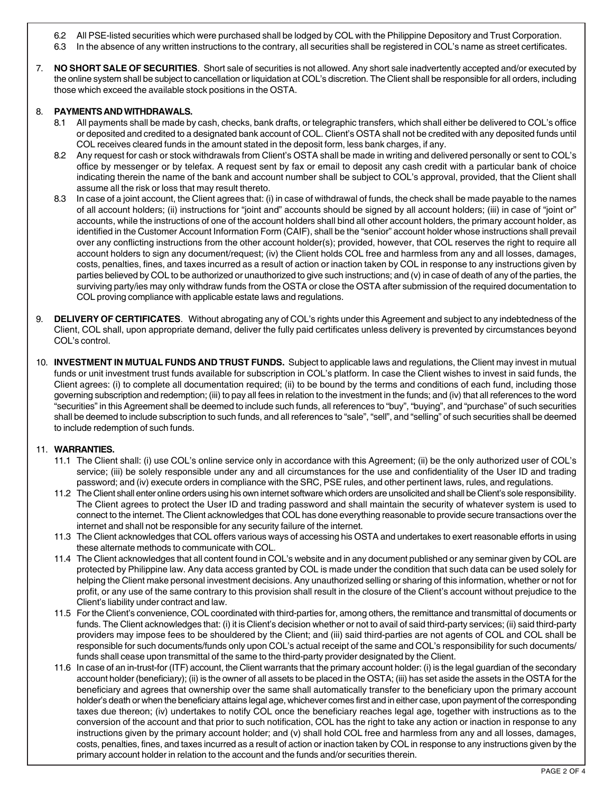- 6.2 All PSE-listed securities which were purchased shall be lodged by COL with the Philippine Depository and Trust Corporation.
- 6.3 In the absence of any written instructions to the contrary, all securities shall be registered in COL's name as street certificates.
- 7. **NO SHORT SALE OF SECURITIES**. Short sale of securities is not allowed. Any short sale inadvertently accepted and/or executed by the online system shall be subject to cancellation or liquidation at COL's discretion. The Client shall be responsible for all orders, including those which exceed the available stock positions in the OSTA.

#### 8. **PAYMENTS AND WITHDRAWALS.**

- 8.1 All payments shall be made by cash, checks, bank drafts, or telegraphic transfers, which shall either be delivered to COL's office or deposited and credited to a designated bank account of COL. Client's OSTA shall not be credited with any deposited funds until COL receives cleared funds in the amount stated in the deposit form, less bank charges, if any.
- 8.2 Any request for cash or stock withdrawals from Client's OSTA shall be made in writing and delivered personally or sent to COL's office by messenger or by telefax. A request sent by fax or email to deposit any cash credit with a particular bank of choice indicating therein the name of the bank and account number shall be subject to COL's approval, provided, that the Client shall assume all the risk or loss that may result thereto.
- 8.3 In case of a joint account, the Client agrees that: (i) in case of withdrawal of funds, the check shall be made payable to the names of all account holders; (ii) instructions for "joint and" accounts should be signed by all account holders; (iii) in case of "joint or" accounts, while the instructions of one of the account holders shall bind all other account holders, the primary account holder, as identified in the Customer Account Information Form (CAIF), shall be the "senior" account holder whose instructions shall prevail over any conflicting instructions from the other account holder(s); provided, however, that COL reserves the right to require all account holders to sign any document/request; (iv) the Client holds COL free and harmless from any and all losses, damages, costs, penalties, fines, and taxes incurred as a result of action or inaction taken by COL in response to any instructions given by parties believed by COL to be authorized or unauthorized to give such instructions; and (v) in case of death of any of the parties, the surviving party/ies may only withdraw funds from the OSTA or close the OSTA after submission of the required documentation to COL proving compliance with applicable estate laws and regulations.
- 9. **DELIVERY OF CERTIFICATES**. Without abrogating any of COL's rights under this Agreement and subject to any indebtedness of the Client, COL shall, upon appropriate demand, deliver the fully paid certificates unless delivery is prevented by circumstances beyond COL's control.
- 10. **INVESTMENT IN MUTUAL FUNDS AND TRUST FUNDS.** Subject to applicable laws and regulations, the Client may invest in mutual funds or unit investment trust funds available for subscription in COL's platform. In case the Client wishes to invest in said funds, the Client agrees: (i) to complete all documentation required; (ii) to be bound by the terms and conditions of each fund, including those governing subscription and redemption; (iii) to pay all fees in relation to the investment in the funds; and (iv) that all references to the word "securities" in this Agreement shall be deemed to include such funds, all references to "buy", "buying", and "purchase" of such securities shall be deemed to include subscription to such funds, and all references to "sale", "sell", and "selling" of such securities shall be deemed to include redemption of such funds.

## 11. **WARRANTIES.**

- 11.1 The Client shall: (i) use COL's online service only in accordance with this Agreement; (ii) be the only authorized user of COL's service; (iii) be solely responsible under any and all circumstances for the use and confidentiality of the User ID and trading password; and (iv) execute orders in compliance with the SRC, PSE rules, and other pertinent laws, rules, and regulations.
- 11.2 The Client shall enter online orders using his own internet software which orders are unsolicited and shall be Client's sole responsibility. The Client agrees to protect the User ID and trading password and shall maintain the security of whatever system is used to connect to the internet. The Client acknowledges that COL has done everything reasonable to provide secure transactions over the internet and shall not be responsible for any security failure of the internet.
- 11.3 The Client acknowledges that COL offers various ways of accessing his OSTA and undertakes to exert reasonable efforts in using these alternate methods to communicate with COL.
- 11.4 The Client acknowledges that all content found in COL's website and in any document published or any seminar given by COL are protected by Philippine law. Any data access granted by COL is made under the condition that such data can be used solely for helping the Client make personal investment decisions. Any unauthorized selling or sharing of this information, whether or not for profit, or any use of the same contrary to this provision shall result in the closure of the Client's account without prejudice to the Client's liability under contract and law.
- 11.5 For the Client's convenience, COL coordinated with third-parties for, among others, the remittance and transmittal of documents or funds. The Client acknowledges that: (i) it is Client's decision whether or not to avail of said third-party services; (ii) said third-party providers may impose fees to be shouldered by the Client; and (iii) said third-parties are not agents of COL and COL shall be responsible for such documents/funds only upon COL's actual receipt of the same and COL's responsibility for such documents/ funds shall cease upon transmittal of the same to the third-party provider designated by the Client.
- 11.6 In case of an in-trust-for (ITF) account, the Client warrants that the primary account holder: (i) is the legal guardian of the secondary account holder (beneficiary); (ii) is the owner of all assets to be placed in the OSTA; (iii) has set aside the assets in the OSTA for the beneficiary and agrees that ownership over the same shall automatically transfer to the beneficiary upon the primary account holder's death or when the beneficiary attains legal age, whichever comes first and in either case, upon payment of the corresponding taxes due thereon; (iv) undertakes to notify COL once the beneficiary reaches legal age, together with instructions as to the conversion of the account and that prior to such notification, COL has the right to take any action or inaction in response to any instructions given by the primary account holder; and (v) shall hold COL free and harmless from any and all losses, damages, costs, penalties, fines, and taxes incurred as a result of action or inaction taken by COL in response to any instructions given by the primary account holder in relation to the account and the funds and/or securities therein.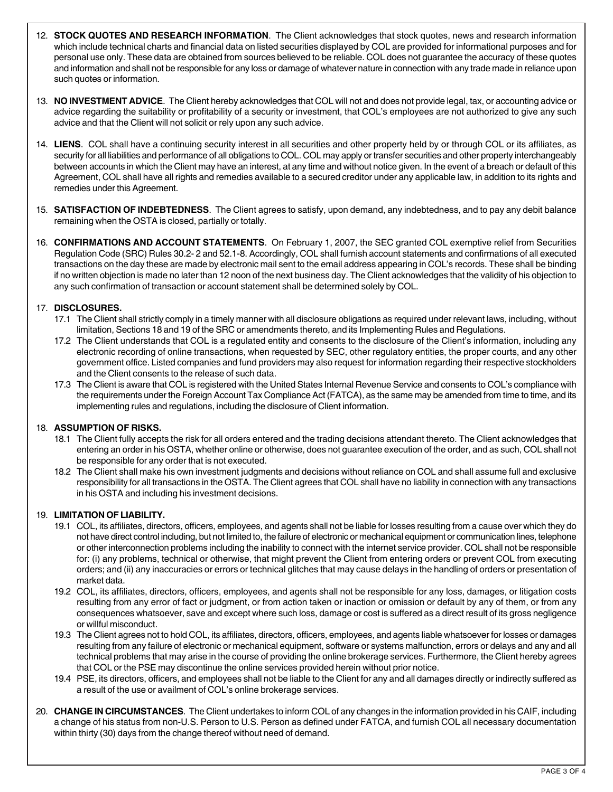- 12. **STOCK QUOTES AND RESEARCH INFORMATION**. The Client acknowledges that stock quotes, news and research information which include technical charts and financial data on listed securities displayed by COL are provided for informational purposes and for personal use only. These data are obtained from sources believed to be reliable. COL does not guarantee the accuracy of these quotes and information and shall not be responsible for any loss or damage of whatever nature in connection with any trade made in reliance upon such quotes or information.
- 13. **NO INVESTMENT ADVICE**. The Client hereby acknowledges that COL will not and does not provide legal, tax, or accounting advice or advice regarding the suitability or profitability of a security or investment, that COL's employees are not authorized to give any such advice and that the Client will not solicit or rely upon any such advice.
- 14. **LIENS**. COL shall have a continuing security interest in all securities and other property held by or through COL or its affiliates, as security for all liabilities and performance of all obligations to COL. COL may apply or transfer securities and other property interchangeably between accounts in which the Client may have an interest, at any time and without notice given. In the event of a breach or default of this Agreement, COL shall have all rights and remedies available to a secured creditor under any applicable law, in addition to its rights and remedies under this Agreement.
- 15. **SATISFACTION OF INDEBTEDNESS**. The Client agrees to satisfy, upon demand, any indebtedness, and to pay any debit balance remaining when the OSTA is closed, partially or totally.
- 16. **CONFIRMATIONS AND ACCOUNT STATEMENTS**. On February 1, 2007, the SEC granted COL exemptive relief from Securities Regulation Code (SRC) Rules 30.2- 2 and 52.1-8. Accordingly, COL shall furnish account statements and confirmations of all executed transactions on the day these are made by electronic mail sent to the email address appearing in COL's records. These shall be binding if no written objection is made no later than 12 noon of the next business day. The Client acknowledges that the validity of his objection to any such confirmation of transaction or account statement shall be determined solely by COL.

## 17. **DISCLOSURES.**

- 17.1 The Client shall strictly comply in a timely manner with all disclosure obligations as required under relevant laws, including, without limitation, Sections 18 and 19 of the SRC or amendments thereto, and its Implementing Rules and Regulations.
- 17.2 The Client understands that COL is a regulated entity and consents to the disclosure of the Client's information, including any electronic recording of online transactions, when requested by SEC, other regulatory entities, the proper courts, and any other government office. Listed companies and fund providers may also request for information regarding their respective stockholders and the Client consents to the release of such data.
- 17.3 The Client is aware that COL is registered with the United States Internal Revenue Service and consents to COL's compliance with the requirements under the Foreign Account Tax Compliance Act (FATCA), as the same may be amended from time to time, and its implementing rules and regulations, including the disclosure of Client information.

## 18. **ASSUMPTION OF RISKS.**

- 18.1 The Client fully accepts the risk for all orders entered and the trading decisions attendant thereto. The Client acknowledges that entering an order in his OSTA, whether online or otherwise, does not guarantee execution of the order, and as such, COL shall not be responsible for any order that is not executed.
- 18.2 The Client shall make his own investment judgments and decisions without reliance on COL and shall assume full and exclusive responsibility for all transactions in the OSTA. The Client agrees that COL shall have no liability in connection with any transactions in his OSTA and including his investment decisions.

## 19. **LIMITATION OF LIABILITY.**

- 19.1 COL, its affiliates, directors, officers, employees, and agents shall not be liable for losses resulting from a cause over which they do not have direct control including, but not limited to, the failure of electronic or mechanical equipment or communication lines, telephone or other interconnection problems including the inability to connect with the internet service provider. COL shall not be responsible for: (i) any problems, technical or otherwise, that might prevent the Client from entering orders or prevent COL from executing orders; and (ii) any inaccuracies or errors or technical glitches that may cause delays in the handling of orders or presentation of market data.
- 19.2 COL, its affiliates, directors, officers, employees, and agents shall not be responsible for any loss, damages, or litigation costs resulting from any error of fact or judgment, or from action taken or inaction or omission or default by any of them, or from any consequences whatsoever, save and except where such loss, damage or cost is suffered as a direct result of its gross negligence or willful misconduct.
- 19.3 The Client agrees not to hold COL, its affiliates, directors, officers, employees, and agents liable whatsoever for losses or damages resulting from any failure of electronic or mechanical equipment, software or systems malfunction, errors or delays and any and all technical problems that may arise in the course of providing the online brokerage services. Furthermore, the Client hereby agrees that COL or the PSE may discontinue the online services provided herein without prior notice.
- 19.4 PSE, its directors, officers, and employees shall not be liable to the Client for any and all damages directly or indirectly suffered as a result of the use or availment of COL's online brokerage services.
- 20. **CHANGE IN CIRCUMSTANCES**. The Client undertakes to inform COL of any changes in the information provided in his CAIF, including a change of his status from non-U.S. Person to U.S. Person as defined under FATCA, and furnish COL all necessary documentation within thirty (30) days from the change thereof without need of demand.